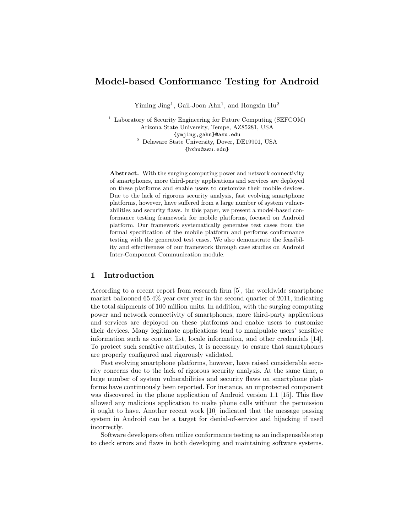# **Model-based Conformance Testing for Android**

Yiming  $\text{Jing}^1$ , Gail-Joon Ahn<sup>1</sup>, and Hongxin Hu<sup>2</sup>

<sup>1</sup> Laboratory of Security Engineering for Future Computing (SEFCOM) Arizona State University, Tempe, AZ85281, USA {ymjing,gahn}@asu.edu <sup>2</sup> Delaware State University, Dover, DE19901, USA {hxhu@asu.edu}

Abstract. With the surging computing power and network connectivity of smartphones, more third-party applications and services are deployed on these platforms and enable users to customize their mobile devices. Due to the lack of rigorous security analysis, fast evolving smartphone platforms, however, have suffered from a large number of system vulnerabilities and security flaws. In this paper, we present a model-based conformance testing framework for mobile platforms, focused on Android platform. Our framework systematically generates test cases from the formal specification of the mobile platform and performs conformance testing with the generated test cases. We also demonstrate the feasibility and effectiveness of our framework through case studies on Android Inter-Component Communication module.

### **1 Introduction**

According to a recent report from research firm [5], the worldwide smartphone market ballooned 65.4% year over year in the second quarter of 2011, indicating the total shipments of 100 million units. In addition, with the surging computing power and network connectivity of smartphones, more third-party applications and services are deployed on these platforms and enable users to customize their devices. Many legitimate applications tend to manipulate users' sensitive information such as contact list, locale information, and other credentials [14]. To protect such sensitive attributes, it is necessary to ensure that smartphones are properly configured and rigorously validated.

Fast evolving smartphone platforms, however, have raised considerable security concerns due to the lack of rigorous security analysis. At the same time, a large number of system vulnerabilities and security flaws on smartphone platforms have continuously been reported. For instance, an unprotected component was discovered in the phone application of Android version 1.1 [15]. This flaw allowed any malicious application to make phone calls without the permission it ought to have. Another recent work [10] indicated that the message passing system in Android can be a target for denial-of-service and hijacking if used incorrectly.

Software developers often utilize conformance testing as an indispensable step to check errors and flaws in both developing and maintaining software systems.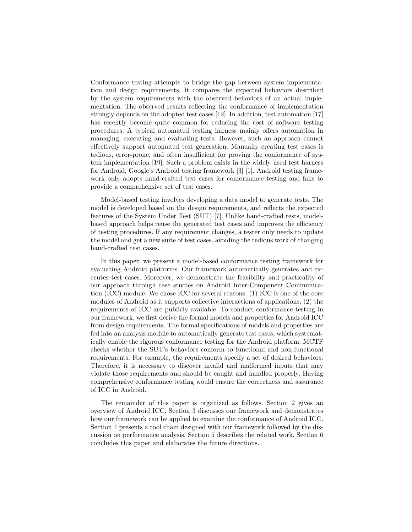Conformance testing attempts to bridge the gap between system implementation and design requirements. It compares the expected behaviors described by the system requirements with the observed behaviors of an actual implementation. The observed results reflecting the conformance of implementation strongly depends on the adopted test cases [12]. In addition, test automation [17] has recently become quite common for reducing the cost of software testing procedures. A typical automated testing harness mainly offers automation in managing, executing and evaluating tests. However, such an approach cannot effectively support automated test generation. Manually creating test cases is tedious, error-prone, and often insufficient for proving the conformance of system implementation [19]. Such a problem exists in the widely used test harness for Android, Google's Android testing framework [3] [1]. Android testing framework only adopts hand-crafted test cases for conformance testing and fails to provide a comprehensive set of test cases.

Model-based testing involves developing a data model to generate tests. The model is developed based on the design requirements, and reflects the expected features of the System Under Test (SUT) [7]. Unlike hand-crafted tests, modelbased approach helps reuse the generated test cases and improves the efficiency of testing procedures. If any requirement changes, a tester only needs to update the model and get a new suite of test cases, avoiding the tedious work of changing hand-crafted test cases.

In this paper, we present a model-based conformance testing framework for evaluating Android platforms. Our framework automatically generates and executes test cases. Moreover, we demonstrate the feasibility and practicality of our approach through case studies on Android Inter-Component Communication (ICC) module. We chose ICC for several reasons: (1) ICC is one of the core modules of Android as it supports collective interactions of applications; (2) the requirements of ICC are publicly available. To conduct conformance testing in our framework, we first derive the formal models and properties for Android ICC from design requirements. The formal specifications of models and properties are fed into an analysis module to automatically generate test cases, which systematically enable the rigorous conformance testing for the Android platform. MCTF checks whether the SUT's behaviors conform to functional and non-functional requirements. For example, the requirements specify a set of desired behaviors. Therefore, it is necessary to discover invalid and malformed inputs that may violate those requirements and should be caught and handled properly. Having comprehensive conformance testing would ensure the correctness and assurance of ICC in Android.

The remainder of this paper is organized as follows. Section 2 gives an overview of Android ICC. Section 3 discusses our framework and demonstrates how our framework can be applied to examine the conformance of Android ICC. Section 4 presents a tool chain designed with our framework followed by the discussion on performance analysis. Section 5 describes the related work. Section 6 concludes this paper and elaborates the future directions.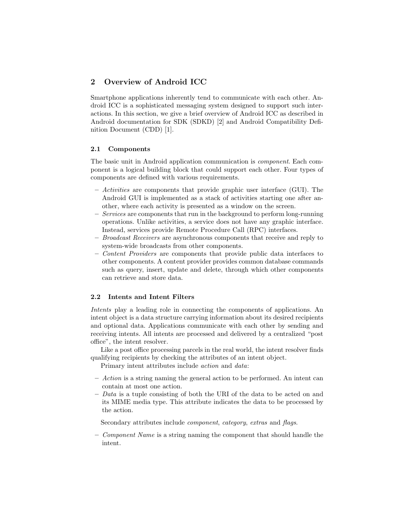# **2 Overview of Android ICC**

Smartphone applications inherently tend to communicate with each other. Android ICC is a sophisticated messaging system designed to support such interactions. In this section, we give a brief overview of Android ICC as described in Android documentation for SDK (SDKD) [2] and Android Compatibility Definition Document (CDD) [1].

#### **2.1 Components**

The basic unit in Android application communication is *component*. Each component is a logical building block that could support each other. Four types of components are defined with various requirements.

- **–** *Activities* are components that provide graphic user interface (GUI). The Android GUI is implemented as a stack of activities starting one after another, where each activity is presented as a window on the screen.
- **–** *Services* are components that run in the background to perform long-running operations. Unlike activities, a service does not have any graphic interface. Instead, services provide Remote Procedure Call (RPC) interfaces.
- **–** *Broadcast Receivers* are asynchronous components that receive and reply to system-wide broadcasts from other components.
- **–** *Content Providers* are components that provide public data interfaces to other components. A content provider provides common database commands such as query, insert, update and delete, through which other components can retrieve and store data.

#### **2.2 Intents and Intent Filters**

*Intents* play a leading role in connecting the components of applications. An intent object is a data structure carrying information about its desired recipients and optional data. Applications communicate with each other by sending and receiving intents. All intents are processed and delivered by a centralized "post office", the intent resolver.

Like a post office processing parcels in the real world, the intent resolver finds qualifying recipients by checking the attributes of an intent object.

Primary intent attributes include *action* and *data*:

- **–** *Action* is a string naming the general action to be performed. An intent can contain at most one action.
- **–** *Data* is a tuple consisting of both the URI of the data to be acted on and its MIME media type. This attribute indicates the data to be processed by the action.

Secondary attributes include *component*, *category*, *extras* and *flags*.

**–** *Component Name* is a string naming the component that should handle the intent.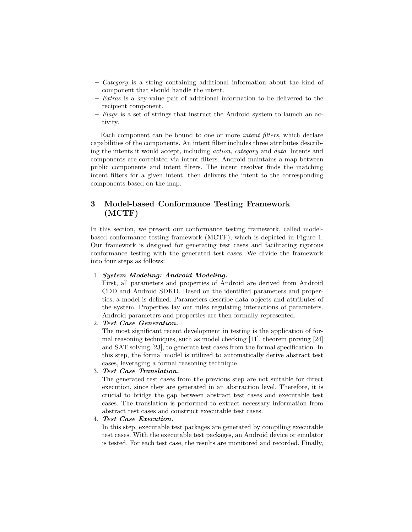- **–** *Category* is a string containing additional information about the kind of component that should handle the intent.
- **–** *Extras* is a key-value pair of additional information to be delivered to the recipient component.
- **–** *Flags* is a set of strings that instruct the Android system to launch an activity.

Each component can be bound to one or more *intent filters*, which declare capabilities of the components. An intent filter includes three attributes describing the intents it would accept, including *action*, *category* and *data*. Intents and components are correlated via intent filters. Android maintains a map between public components and intent filters. The intent resolver finds the matching intent filters for a given intent, then delivers the intent to the corresponding components based on the map.

# **3 Model-based Conformance Testing Framework (MCTF)**

In this section, we present our conformance testing framework, called modelbased conformance testing framework (MCTF), which is depicted in Figure 1. Our framework is designed for generating test cases and facilitating rigorous conformance testing with the generated test cases. We divide the framework into four steps as follows:

#### 1. *System Modeling: Android Modeling.*

First, all parameters and properties of Android are derived from Android CDD and Android SDKD. Based on the identified parameters and properties, a model is defined. Parameters describe data objects and attributes of the system. Properties lay out rules regulating interactions of parameters. Android parameters and properties are then formally represented.

#### 2. *Test Case Generation.*

The most significant recent development in testing is the application of formal reasoning techniques, such as model checking [11], theorem proving [24] and SAT solving [23], to generate test cases from the formal specification. In this step, the formal model is utilized to automatically derive abstract test cases, leveraging a formal reasoning technique.

#### 3. *Test Case Translation.*

The generated test cases from the previous step are not suitable for direct execution, since they are generated in an abstraction level. Therefore, it is crucial to bridge the gap between abstract test cases and executable test cases. The translation is performed to extract necessary information from abstract test cases and construct executable test cases.

#### 4. *Test Case Execution.*

In this step, executable test packages are generated by compiling executable test cases. With the executable test packages, an Android device or emulator is tested. For each test case, the results are monitored and recorded. Finally,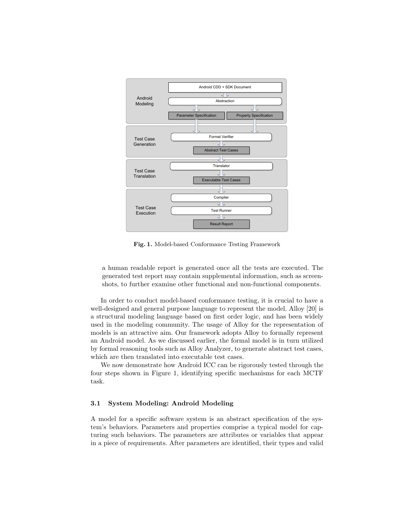

**Fig. 1.** Model-based Conformance Testing Framework

a human readable report is generated once all the tests are executed. The generated test report may contain supplemental information, such as screenshots, to further examine other functional and non-functional components.

In order to conduct model-based conformance testing, it is crucial to have a well-designed and general purpose language to represent the model. Alloy [20] is a structural modeling language based on first order logic, and has been widely used in the modeling community. The usage of Alloy for the representation of models is an attractive aim. Our framework adopts Alloy to formally represent an Android model. As we discussed earlier, the formal model is in turn utilized by formal reasoning tools such as Alloy Analyzer, to generate abstract test cases, which are then translated into executable test cases.

We now demonstrate how Android ICC can be rigorously tested through the four steps shown in Figure 1, identifying specific mechanisms for each MCTF task.

#### **3.1 System Modeling: Android Modeling**

A model for a specific software system is an abstract specification of the system's behaviors. Parameters and properties comprise a typical model for capturing such behaviors. The parameters are attributes or variables that appear in a piece of requirements. After parameters are identified, their types and valid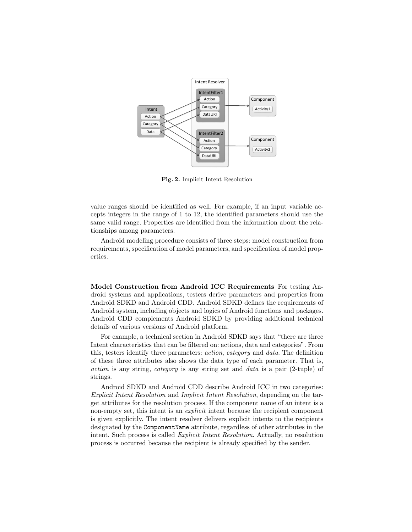

**Fig. 2.** Implicit Intent Resolution

value ranges should be identified as well. For example, if an input variable accepts integers in the range of 1 to 12, the identified parameters should use the same valid range. Properties are identified from the information about the relationships among parameters.

Android modeling procedure consists of three steps: model construction from requirements, specification of model parameters, and specification of model properties.

**Model Construction from Android ICC Requirements** For testing Android systems and applications, testers derive parameters and properties from Android SDKD and Android CDD. Android SDKD defines the requirements of Android system, including objects and logics of Android functions and packages. Android CDD complements Android SDKD by providing additional technical details of various versions of Android platform.

For example, a technical section in Android SDKD says that "there are three Intent characteristics that can be filtered on: actions, data and categories". From this, testers identify three parameters: *action*, *category* and *data*. The definition of these three attributes also shows the data type of each parameter. That is, *action* is any string, *category* is any string set and *data* is a pair (2-tuple) of strings.

Android SDKD and Android CDD describe Android ICC in two categories: *Explicit Intent Resolution* and *Implicit Intent Resolution*, depending on the target attributes for the resolution process. If the component name of an intent is a non-empty set, this intent is an *explicit* intent because the recipient component is given explicitly. The intent resolver delivers explicit intents to the recipients designated by the ComponentName attribute, regardless of other attributes in the intent. Such process is called *Explicit Intent Resolution*. Actually, no resolution process is occurred because the recipient is already specified by the sender.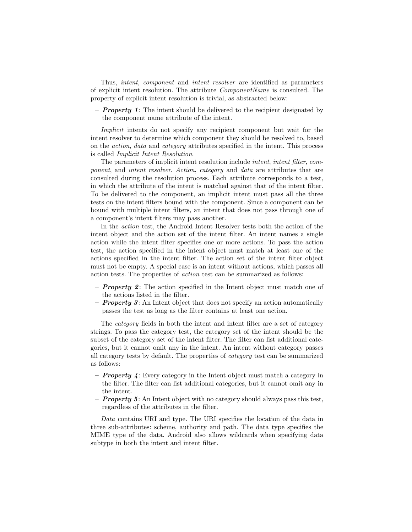Thus, *intent*, *component* and *intent resolver* are identified as parameters of explicit intent resolution. The attribute *ComponentName* is consulted. The property of explicit intent resolution is trivial, as abstracted below:

**–** *Property 1*: The intent should be delivered to the recipient designated by the component name attribute of the intent.

*Implicit* intents do not specify any recipient component but wait for the intent resolver to determine which component they should be resolved to, based on the *action*, *data* and *category* attributes specified in the intent. This process is called *Implicit Intent Resolution*.

The parameters of implicit intent resolution include *intent*, *intent filter*, *component*, and *intent resolver*. *Action*, *category* and *data* are attributes that are consulted during the resolution process. Each attribute corresponds to a test, in which the attribute of the intent is matched against that of the intent filter. To be delivered to the component, an implicit intent must pass all the three tests on the intent filters bound with the component. Since a component can be bound with multiple intent filters, an intent that does not pass through one of a component's intent filters may pass another.

In the *action* test, the Android Intent Resolver tests both the action of the intent object and the action set of the intent filter. An intent names a single action while the intent filter specifies one or more actions. To pass the action test, the action specified in the intent object must match at least one of the actions specified in the intent filter. The action set of the intent filter object must not be empty. A special case is an intent without actions, which passes all action tests. The properties of *action* test can be summarized as follows:

- **–** *Property 2*: The action specified in the Intent object must match one of the actions listed in the filter.
- **–** *Property 3*: An Intent object that does not specify an action automatically passes the test as long as the filter contains at least one action.

The *category* fields in both the intent and intent filter are a set of category strings. To pass the category test, the category set of the intent should be the subset of the category set of the intent filter. The filter can list additional categories, but it cannot omit any in the intent. An intent without category passes all category tests by default. The properties of *category* test can be summarized as follows:

- **–** *Property 4*: Every category in the Intent object must match a category in the filter. The filter can list additional categories, but it cannot omit any in the intent.
- **–** *Property 5*: An Intent object with no category should always pass this test, regardless of the attributes in the filter.

*Data* contains URI and type. The URI specifies the location of the data in three sub-attributes: scheme, authority and path. The data type specifies the MIME type of the data. Android also allows wildcards when specifying data subtype in both the intent and intent filter.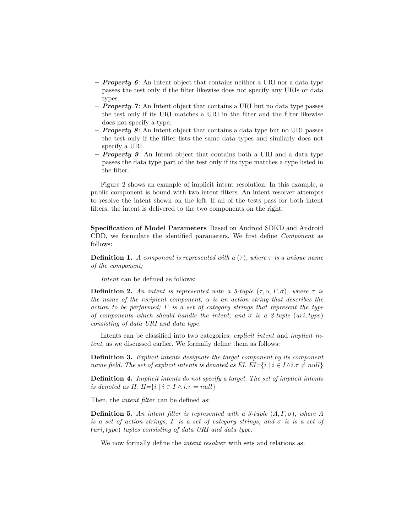- **–** *Property 6*: An Intent object that contains neither a URI nor a data type passes the test only if the filter likewise does not specify any URIs or data types.
- *Property 7*: An Intent object that contains a URI but no data type passes the test only if its URI matches a URI in the filter and the filter likewise does not specify a type.
- **–** *Property 8*: An Intent object that contains a data type but no URI passes the test only if the filter lists the same data types and similarly does not specify a URI.
- **–** *Property 9*: An Intent object that contains both a URI and a data type passes the data type part of the test only if its type matches a type listed in the filter.

Figure 2 shows an example of implicit intent resolution. In this example, a public component is bound with two intent filters. An intent resolver attempts to resolve the intent shown on the left. If all of the tests pass for both intent filters, the intent is delivered to the two components on the right.

**Specification of Model Parameters** Based on Android SDKD and Android CDD, we formulate the identified parameters. We first define *Component* as follows:

**Definition 1.** *A component is represented with a*  $(\tau)$ *, where*  $\tau$  *is a unique name of the component;*

*Intent* can be defined as follows:

**Definition 2.** An intent is represented with a 5-tuple  $(\tau, \alpha, \Gamma, \sigma)$ , where  $\tau$  is *the name of the recipient component;*  $\alpha$  *is an action string that describes the action to be performed; Γ is a set of category strings that represent the type of components which should handle the intent; and σ is a 2-tuple* (*uri, type*) *consisting of data URI and data type.*

Intents can be classified into two categories: *explicit intent* and *implicit intent*, as we discussed earlier. We formally define them as follows:

**Definition 3.** *Explicit intents designate the target component by its component name field. The set of explicit intents is denoted as EI. EI=* $\{i \mid i \in I \land i.\tau \neq null\}$ 

**Definition 4.** *Implicit intents do not specify a target. The set of implicit intents is denoted as II.*  $II = \{i \mid i \in I \land i.\tau = null\}$ 

Then, the *intent filter* can be defined as:

**Definition 5.** An intent filter is represented with a 3-tuple  $(Λ, Γ, σ)$ , where  $Λ$ *is a set of action strings; Γ is a set of category strings; and σ is is a set of* (*uri, type*) *tuples consisting of data URI and data type.*

We now formally define the *intent resolver* with sets and relations as: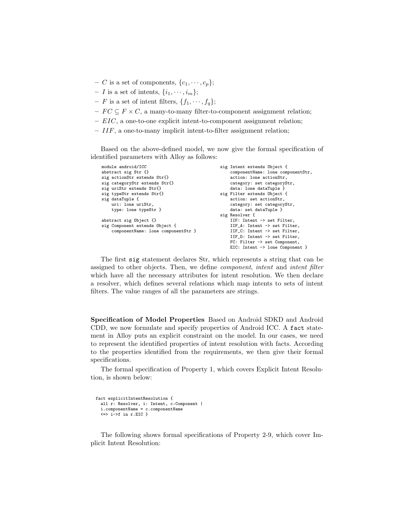- $-C$  is a set of components,  $\{c_1, \dots, c_p\};$
- $-I$  is a set of intents,  $\{i_1, \dots, i_m\};$
- $-F$  is a set of intent filters,  $\{f_1, \dots, f_q\};$
- **–** *F C ⊆ F × C*, a many-to-many filter-to-component assignment relation;
- **–** *EIC*, a one-to-one explicit intent-to-component assignment relation;
- **–** *IIF*, a one-to-many implicit intent-to-filter assignment relation;

Based on the above-defined model, we now give the formal specification of identified parameters with Alloy as follows:

| module android/ICC                 | sig Intent extends Object {       |
|------------------------------------|-----------------------------------|
| abstract sig Str $\{\}$            | componentName: lone componentStr, |
| sig actionStr extends Str{}        | action: lone actionStr,           |
| sig categoryStr extends Str{}      | category: set categoryStr,        |
| sig uriStr extends Str{}           | data: lone dataTuple }            |
| sig typeStr extends Str{}          | sig Filter extends Object {       |
| sig dataTuple {                    | action: set actionStr,            |
| uri: lone uriStr,                  | category: set categoryStr,        |
| type: lone typeStr }               | data: set dataTuple }             |
|                                    | sig Resolver {                    |
| abstract sig $Object \}$           | IIF: Intent -> set Filter,        |
| sig Component extends Object {     | IIF_A: Intent -> set Filter,      |
| componentName: lone componentStr } | IIF_C: Intent -> set Filter,      |
|                                    | IIF_D: Intent -> set Filter,      |
|                                    | FC: Filter -> set Component,      |
|                                    | EIC: Intent -> lone Component }   |

The first sig statement declares Str, which represents a string that can be assigned to other objects. Then, we define *component*, *intent* and *intent filter* which have all the necessary attributes for intent resolution. We then declare a resolver, which defines several relations which map intents to sets of intent filters. The value ranges of all the parameters are strings.

**Specification of Model Properties** Based on Android SDKD and Android CDD, we now formulate and specify properties of Android ICC. A fact statement in Alloy puts an explicit constraint on the model. In our cases, we need to represent the identified properties of intent resolution with facts. According to the properties identified from the requirements, we then give their formal specifications.

The formal specification of Property 1, which covers Explicit Intent Resolution, is shown below:

fact explicitIntentResolution { all r: Resolver, i: Intent, c:Component | i.componentName = c.componentName  $\iff$  i–>f in  $r.EIC$  }

The following shows formal specifications of Property 2-9, which cover Implicit Intent Resolution: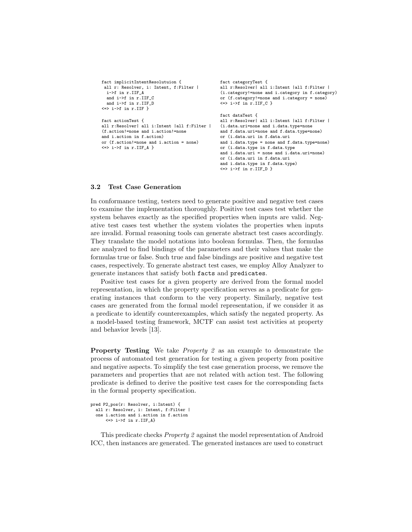```
fact implicitIntentResolutuion {
 all r: Resolver, i: Intent, f:Filter |
 i->f in r.IIF_A
 and i->f in r.IIF_C
 and i->f in r.IIF_D
<=> i->f in r.IIF }
fact actionTest {
all r:Resolver| all i:Intent |all f:Filter |
(i.data.uri=none and i.data.type=none
(f.action!=none and i.action!=none
and i.action in f.action)
or (f.action!=none and i.action = none)
\leftarrow i->f in r.IIF A }
                                                fact categoryTest {
                                               all r:Resolver| all i:Intent |all f:Filter |
                                                (i.category!=none and i.category in f.category)
                                                or (f.category!=none and i.category = none)
                                                \leftarrow i->f in r.IIF_C }
                                                fact dataTest {
                                                all r:Resolver| all i:Intent |all f:Filter |
                                                and f.data.uri=none and f.data.type=none)
                                                or (i.data.uri in f.data.uri
                                                and i.data.type = none and f.data.type=none)
                                                or (i.data.type in f.data.type
                                                and i.data.uri = none and i.data.uri=none)
                                                or (i.data.uri in f.data.uri
                                                and i.data.type in f.data.type)
```
 $\leftarrow$  i->f in r.IIF\_D }

#### **3.2 Test Case Generation**

In conformance testing, testers need to generate positive and negative test cases to examine the implementation thoroughly. Positive test cases test whether the system behaves exactly as the specified properties when inputs are valid. Negative test cases test whether the system violates the properties when inputs are invalid. Formal reasoning tools can generate abstract test cases accordingly. They translate the model notations into boolean formulas. Then, the formulas are analyzed to find bindings of the parameters and their values that make the formulas true or false. Such true and false bindings are positive and negative test cases, respectively. To generate abstract test cases, we employ Alloy Analyzer to generate instances that satisfy both facts and predicates.

Positive test cases for a given property are derived from the formal model representation, in which the property specification serves as a predicate for generating instances that conform to the very property. Similarly, negative test cases are generated from the formal model representation, if we consider it as a predicate to identify counterexamples, which satisfy the negated property. As a model-based testing framework, MCTF can assist test activities at property and behavior levels [13].

**Property Testing** We take *Property 2* as an example to demonstrate the process of automated test generation for testing a given property from positive and negative aspects. To simplify the test case generation process, we remove the parameters and properties that are not related with action test. The following predicate is defined to derive the positive test cases for the corresponding facts in the formal property specification.

```
pred P2_pos(r: Resolver, i:Intent) {
  all r: Resolver, i: Intent, f:Filter |
  one i.action and i.action in f.action
        \left\langle \Rightarrow i-\rangle f \text{ in } r.\text{IIF A}\right\}
```
This predicate checks *Property 2* against the model representation of Android ICC, then instances are generated. The generated instances are used to construct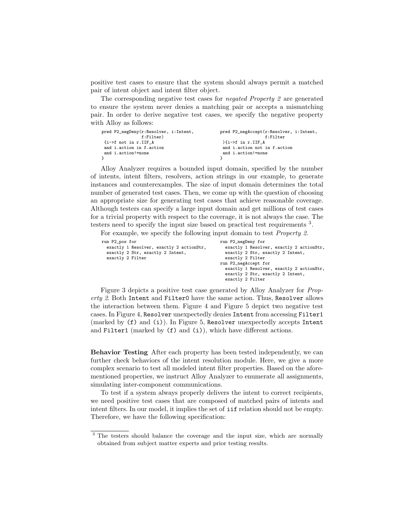positive test cases to ensure that the system should always permit a matched pair of intent object and intent filter object.

The corresponding negative test cases for *negated Property 2* are generated to ensure the system never denies a matching pair or accepts a mismatching pair. In order to derive negative test cases, we specify the negative property with Alloy as follows:

| pred P2_negDeny(r:Resolver, i:Intent,                | pred P2_negAccept(r:Resolver, i:Intent, |
|------------------------------------------------------|-----------------------------------------|
| f:Filter)                                            | f:Filter                                |
| $\{i \rightarrow f \text{ not in } r.\text{IIF A}\}$ | $\{i \rightarrow f \in r.\$             |
| and i.action in f.action                             | and i.action not in f.action            |
| and i.action!=none                                   | and i.action!=none                      |
|                                                      |                                         |

Alloy Analyzer requires a bounded input domain, specified by the number of intents, intent filters, resolvers, action strings in our example, to generate instances and counterexamples. The size of input domain determines the total number of generated test cases. Then, we come up with the question of choosing an appropriate size for generating test cases that achieve reasonable coverage. Although testers can specify a large input domain and get millions of test cases for a trivial property with respect to the coverage, it is not always the case. The testers need to specify the input size based on practical test requirements <sup>3</sup>.

For example, we specify the following input domain to test *Property 2*.

| run P2_pos for                           | run P2_negDeny for                       |
|------------------------------------------|------------------------------------------|
| exactly 1 Resolver, exactly 2 actionStr, | exactly 1 Resolver, exactly 2 actionStr, |
| exactly 2 Str, exactly 2 Intent,         | exactly 2 Str, exactly 2 Intent,         |
| exactly 2 Filter                         | exactly 2 Filter                         |
|                                          | run P2_negAccept for                     |
|                                          | exactly 1 Resolver, exactly 2 actionStr, |
|                                          | exactly 2 Str, exactly 2 Intent,         |
|                                          | exactly 2 Filter                         |
|                                          |                                          |

Figure 3 depicts a positive test case generated by Alloy Analyzer for *Property 2*. Both Intent and Filter0 have the same action. Thus, Resolver allows the interaction between them. Figure 4 and Figure 5 depict two negative test cases. In Figure 4, Resolver unexpectedly denies Intent from accessing Filter1 (marked by (f) and (i)). In Figure 5, Resolver unexpectedly accepts Intent and Filter1 (marked by (f) and (i)), which have different actions.

**Behavior Testing** After each property has been tested independently, we can further check behaviors of the intent resolution module. Here, we give a more complex scenario to test all modeled intent filter properties. Based on the aforementioned properties, we instruct Alloy Analyzer to enumerate all assignments, simulating inter-component communications.

To test if a system always properly delivers the intent to correct recipients, we need positive test cases that are composed of matched pairs of intents and intent filters. In our model, it implies the set of iif relation should not be empty. Therefore, we have the following specification:

<sup>&</sup>lt;sup>3</sup> The testers should balance the coverage and the input size, which are normally obtained from subject matter experts and prior testing results.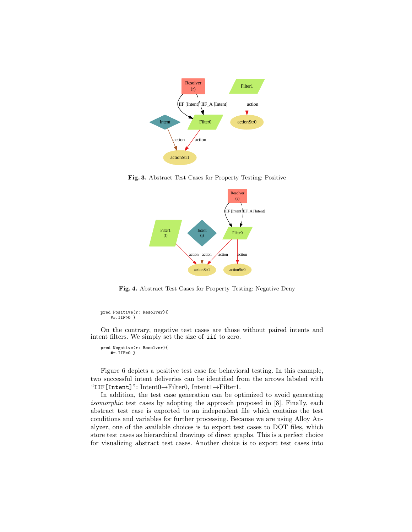

**Fig. 3.** Abstract Test Cases for Property Testing: Positive



**Fig. 4.** Abstract Test Cases for Property Testing: Negative Deny

```
pred Positive(r: Resolver){
   #r.IIF>0 }
```
On the contrary, negative test cases are those without paired intents and intent filters. We simply set the size of iif to zero.

```
pred Negative(r: Resolver){
    #r.IIF=0 }
```
Figure 6 depicts a positive test case for behavioral testing. In this example, two successful intent deliveries can be identified from the arrows labeled with "IIF[Intent]": Intent0*→*Filter0, Intent1*→*Filter1.

In addition, the test case generation can be optimized to avoid generating *isomorphic* test cases by adopting the approach proposed in [8]. Finally, each abstract test case is exported to an independent file which contains the test conditions and variables for further processing. Because we are using Alloy Analyzer, one of the available choices is to export test cases to DOT files, which store test cases as hierarchical drawings of direct graphs. This is a perfect choice for visualizing abstract test cases. Another choice is to export test cases into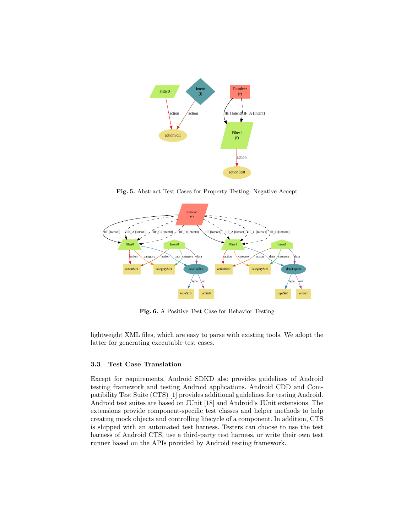

**Fig. 5.** Abstract Test Cases for Property Testing: Negative Accept



**Fig. 6.** A Positive Test Case for Behavior Testing

lightweight XML files, which are easy to parse with existing tools. We adopt the latter for generating executable test cases.

#### **3.3 Test Case Translation**

Except for requirements, Android SDKD also provides guidelines of Android testing framework and testing Android applications. Android CDD and Compatibility Test Suite (CTS) [1] provides additional guidelines for testing Android. Android test suites are based on JUnit [18] and Android's JUnit extensions. The extensions provide component-specific test classes and helper methods to help creating mock objects and controlling lifecycle of a component. In addition, CTS is shipped with an automated test harness. Testers can choose to use the test harness of Android CTS, use a third-party test harness, or write their own test runner based on the APIs provided by Android testing framework.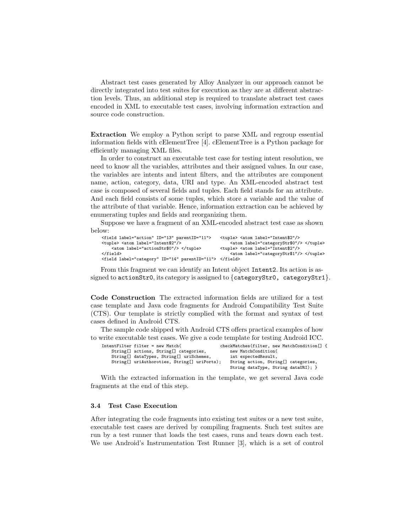Abstract test cases generated by Alloy Analyzer in our approach cannot be directly integrated into test suites for execution as they are at different abstraction levels. Thus, an additional step is required to translate abstract test cases encoded in XML to executable test cases, involving information extraction and source code construction.

**Extraction** We employ a Python script to parse XML and regroup essential information fields with cElementTree [4]. cElementTree is a Python package for efficiently managing XML files.

In order to construct an executable test case for testing intent resolution, we need to know all the variables, attributes and their assigned values. In our case, the variables are intents and intent filters, and the attributes are component name, action, category, data, URI and type. An XML-encoded abstract test case is composed of several fields and tuples. Each field stands for an attribute. And each field consists of some tuples, which store a variable and the value of the attribute of that variable. Hence, information extraction can be achieved by enumerating tuples and fields and reorganizing them.

Suppose we have a fragment of an XML-encoded abstract test case as shown below:

| <field id="13" label="action" parentid="11"></field>    | <tuple> <atom label="Intent\$2"></atom></tuple> |
|---------------------------------------------------------|-------------------------------------------------|
| <tuple> <atom label="Intent\$2"></atom></tuple>         | <atom label="categoryStr\$0"></atom>            |
| <atom label="actionStr\$0"></atom>                      | <tuple> <atom label="Intent\$2"></atom></tuple> |
| $\langle$ /field>                                       | <atom label="categoryStr\$1"></atom>            |
| <field id="14" label="category" parentid="11"> </field> |                                                 |

From this fragment we can identify an Intent object Intent2. Its action is assigned to actionStr0, its category is assigned to *{*categoryStr0, categoryStr1*}*.

**Code Construction** The extracted information fields are utilized for a test case template and Java code fragments for Android Compatibility Test Suite (CTS). Our template is strictly complied with the format and syntax of test cases defined in Android CTS.

The sample code shipped with Android CTS offers practical examples of how to write executable test cases. We give a code template for testing Android ICC.

| IntentFilter filter = new Match(             | checkMatches(filter, new MatchCondition[] { |
|----------------------------------------------|---------------------------------------------|
| String[] actions, String[] categories,       | new MatchCondition(                         |
| String[] dataTypes, String[] uriSchemes,     | int expectedResult,                         |
| String[] uriAuthoroties, String[] uriPorts); | String action, String[] categories,         |
|                                              | String dataType, String dataURI); }         |

With the extracted information in the template, we get several Java code fragments at the end of this step.

#### **3.4 Test Case Execution**

After integrating the code fragments into existing test suites or a new test suite, executable test cases are derived by compiling fragments. Such test suites are run by a test runner that loads the test cases, runs and tears down each test. We use Android's Instrumentation Test Runner [3], which is a set of control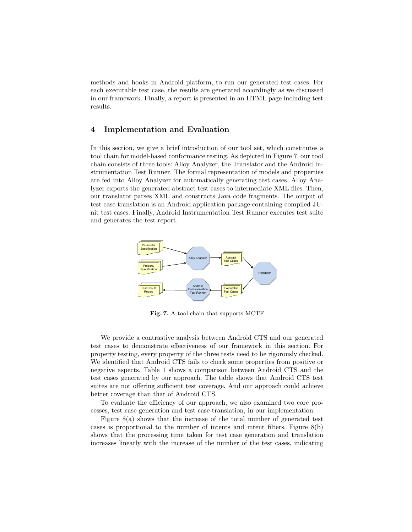methods and hooks in Android platform, to run our generated test cases. For each executable test case, the results are generated accordingly as we discussed in our framework. Finally, a report is presented in an HTML page including test results.

## **4 Implementation and Evaluation**

In this section, we give a brief introduction of our tool set, which constitutes a tool chain for model-based conformance testing. As depicted in Figure 7, our tool chain consists of three tools: Alloy Analyzer, the Translator and the Android Instrumentation Test Runner. The formal representation of models and properties are fed into Alloy Analyzer for automatically generating test cases. Alloy Analyzer exports the generated abstract test cases to intermediate XML files. Then, our translator parses XML and constructs Java code fragments. The output of test case translation is an Android application package containing compiled JUnit test cases. Finally, Android Instrumentation Test Runner executes test suite and generates the test report.



**Fig. 7.** A tool chain that supports MCTF

We provide a contrastive analysis between Android CTS and our generated test cases to demonstrate effectiveness of our framework in this section. For property testing, every property of the three tests need to be rigorously checked. We identified that Android CTS fails to check some properties from positive or negative aspects. Table 1 shows a comparison between Android CTS and the test cases generated by our approach. The table shows that Android CTS test suites are not offering sufficient test coverage. And our approach could achieve better coverage than that of Android CTS.

To evaluate the efficiency of our approach, we also examined two core processes, test case generation and test case translation, in our implementation.

Figure 8(a) shows that the increase of the total number of generated test cases is proportional to the number of intents and intent filters. Figure  $8(b)$ shows that the processing time taken for test case generation and translation increases linearly with the increase of the number of the test cases, indicating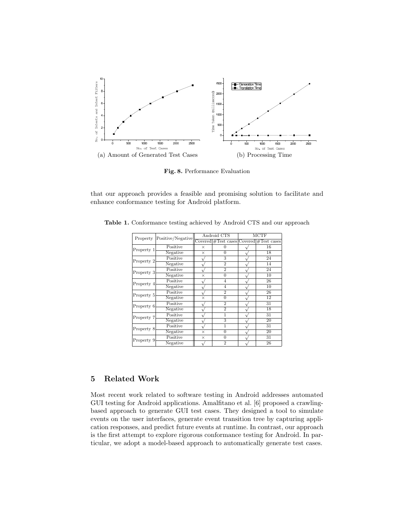

**Fig. 8.** Performance Evaluation

that our approach provides a feasible and promising solution to facilitate and enhance conformance testing for Android platform.

| Property   | Positive/Negative | Android CTS |                                         | <b>MCTF</b> |    |
|------------|-------------------|-------------|-----------------------------------------|-------------|----|
|            |                   |             | Covered #Test cases Covered #Test cases |             |    |
| Property 1 | Positive          | $\times$    | 0                                       |             | 16 |
|            | Negative          | $\times$    | $\overline{0}$                          |             | 18 |
| Property 2 | Positive          |             | 3                                       |             | 24 |
|            | Negative          |             | $\overline{2}$                          |             | 14 |
| Property 3 | Positive          |             | $\overline{2}$                          |             | 24 |
|            | Negative          | $\times$    | $\overline{0}$                          |             | 10 |
| Property 4 | Positive          |             | $\overline{4}$                          |             | 26 |
|            | Negative          |             | $\overline{4}$                          |             | 10 |
| Property 5 | Positive          |             | $\overline{2}$                          |             | 26 |
|            | Negative          | $\times$    | $\Omega$                                |             | 12 |
| Property 6 | Positive          |             | $\overline{2}$                          |             | 31 |
|            | Negative          |             | $\overline{2}$                          |             | 18 |
| Property 7 | Positive          |             | 1                                       |             | 31 |
|            | Negative          |             | 3                                       |             | 20 |
| Property 8 | Positive          |             | 1                                       |             | 31 |
|            | Negative          | $\times$    | $\overline{0}$                          |             | 20 |
| Property 9 | Positive          | $\times$    | $\overline{0}$                          |             | 31 |
|            | Negative          |             | $\overline{2}$                          |             | 26 |

**Table 1.** Conformance testing achieved by Android CTS and our approach

# **5 Related Work**

Most recent work related to software testing in Android addresses automated GUI testing for Android applications. Amalfitano et al. [6] proposed a crawlingbased approach to generate GUI test cases. They designed a tool to simulate events on the user interfaces, generate event transition tree by capturing application responses, and predict future events at runtime. In contrast, our approach is the first attempt to explore rigorous conformance testing for Android. In particular, we adopt a model-based approach to automatically generate test cases.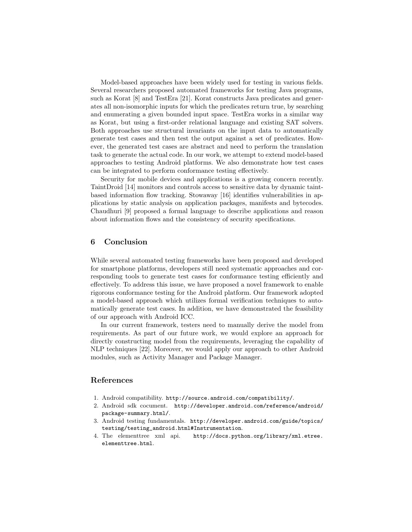Model-based approaches have been widely used for testing in various fields. Several researchers proposed automated frameworks for testing Java programs, such as Korat [8] and TestEra [21]. Korat constructs Java predicates and generates all non-isomorphic inputs for which the predicates return true, by searching and enumerating a given bounded input space. TestEra works in a similar way as Korat, but using a first-order relational language and existing SAT solvers. Both approaches use structural invariants on the input data to automatically generate test cases and then test the output against a set of predicates. However, the generated test cases are abstract and need to perform the translation task to generate the actual code. In our work, we attempt to extend model-based approaches to testing Android platforms. We also demonstrate how test cases can be integrated to perform conformance testing effectively.

Security for mobile devices and applications is a growing concern recently. TaintDroid [14] monitors and controls access to sensitive data by dynamic taintbased information flow tracking. Stowaway [16] identifies vulnerabilities in applications by static analysis on application packages, manifests and bytecodes. Chaudhuri [9] proposed a formal language to describe applications and reason about information flows and the consistency of security specifications.

## **6 Conclusion**

While several automated testing frameworks have been proposed and developed for smartphone platforms, developers still need systematic approaches and corresponding tools to generate test cases for conformance testing efficiently and effectively. To address this issue, we have proposed a novel framework to enable rigorous conformance testing for the Android platform. Our framework adopted a model-based approach which utilizes formal verification techniques to automatically generate test cases. In addition, we have demonstrated the feasibility of our approach with Android ICC.

In our current framework, testers need to manually derive the model from requirements. As part of our future work, we would explore an approach for directly constructing model from the requirements, leveraging the capability of NLP techniques [22]. Moreover, we would apply our approach to other Android modules, such as Activity Manager and Package Manager.

## **References**

- 1. Android compatibility. http://source.android.com/compatibility/.
- 2. Android sdk cocument. http://developer.android.com/reference/android/ package-summary.html/.
- 3. Android testing fundamentals. http://developer.android.com/guide/topics/ testing/testing\_android.html#Instrumentation.
- 4. The elementtree xml api. http://docs.python.org/library/xml.etree. elementtree.html.